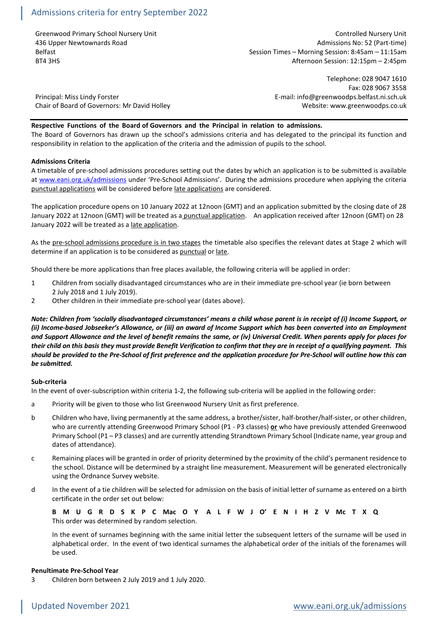Greenwood Primary School Nursery Unit Controlled Nursery Unit Controlled Nursery Unit 436 Upper Newtownards Road Admissions No: 52 (Part-time) Belfast Belfast Session Times – Morning Session: 8:45am – 11:15am<br>BT4 3HS (Session: 12:15pm – 2:45pm Afternoon Session: 12:15pm – 2:45pm

Telephone: 028 9047 1610 Fax: 028 9067 3558 Principal: Miss Lindy Forster E-mail: info@greenwoodps.belfast.ni.sch.uk

Chair of Board of Governors: Mr David Holley Network Chair of Website: www.greenwoodps.co.uk

## **Respective Functions of the Board of Governors and the Principal in relation to admissions.**

The Board of Governors has drawn up the school's admissions criteria and has delegated to the principal its function and responsibility in relation to the application of the criteria and the admission of pupils to the school.

## **Admissions Criteria**

A timetable of pre-school admissions procedures setting out the dates by which an application is to be submitted is available at [www.eani.org.uk/admissions](http://www.eani.org.uk/admissions) under 'Pre-School Admissions'. During the admissions procedure when applying the criteria punctual applications will be considered before late applications are considered.

The application procedure opens on 10 January 2022 at 12noon (GMT) and an application submitted by the closing date of 28 January 2022 at 12noon (GMT) will be treated as a punctual application. An application received after 12noon (GMT) on 28 January 2022 will be treated as a late application.

As the pre-school admissions procedure is in two stages the timetable also specifies the relevant dates at Stage 2 which will determine if an application is to be considered as punctual or late.

Should there be more applications than free places available, the following criteria will be applied in order:

- 1 Children from socially disadvantaged circumstances who are in their immediate pre-school year (ie born between 2 July 2018 and 1 July 2019).
- 2 Other children in their immediate pre-school year (dates above).

*Note: Children from 'socially disadvantaged circumstances' means a child whose parent is in receipt of (i) Income Support, or (ii) Income-based Jobseeker's Allowance, or (iii) an award of Income Support which has been converted into an Employment and Support Allowance and the level of benefit remains the same, or (iv) Universal Credit. When parents apply for places for their child on this basis they must provide Benefit Verification to confirm that they are in receipt of a qualifying payment. This should be provided to the Pre-School of first preference and the application procedure for Pre-School will outline how this can be submitted.*

#### **Sub-criteria**

In the event of over-subscription within criteria 1-2, the following sub-criteria will be applied in the following order:

- a Priority will be given to those who list Greenwood Nursery Unit as first preference.
- b Children who have, living permanently at the same address, a brother/sister, half-brother/half-sister, or other children, who are currently attending Greenwood Primary School (P1 - P3 classes) **or** who have previously attended Greenwood Primary School (P1 – P3 classes) and are currently attending Strandtown Primary School (Indicate name, year group and dates of attendance).
- c Remaining places will be granted in order of priority determined by the proximity of the child's permanent residence to the school. Distance will be determined by a straight line measurement. Measurement will be generated electronically using the Ordnance Survey website.
- d In the event of a tie children will be selected for admission on the basis of initial letter of surname as entered on a birth certificate in the order set out below:

**B M U G R D S K P C Mac O Y A L F W J O' E N I H Z V Mc T X Q** This order was determined by random selection.

In the event of surnames beginning with the same initial letter the subsequent letters of the surname will be used in alphabetical order. In the event of two identical surnames the alphabetical order of the initials of the forenames will be used.

## **Penultimate Pre-School Year**

3 Children born between 2 July 2019 and 1 July 2020.